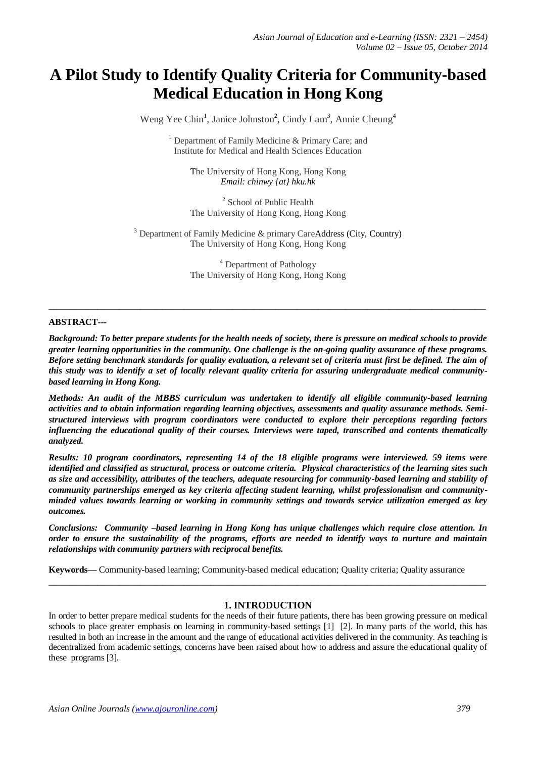# **A Pilot Study to Identify Quality Criteria for Community-based Medical Education in Hong Kong**

Weng Yee Chin<sup>1</sup>, Janice Johnston<sup>2</sup>, Cindy Lam<sup>3</sup>, Annie Cheung<sup>4</sup>

<sup>1</sup> Department of Family Medicine  $\&$  Primary Care; and Institute for Medical and Health Sciences Education

The University of Hong Kong, Hong Kong *Email: chinwy {at} hku.hk*

<sup>2</sup> School of Public Health The University of Hong Kong, Hong Kong

 $3$  Department of Family Medicine & primary CareAddress (City, Country) The University of Hong Kong, Hong Kong

> <sup>4</sup> Department of Pathology The University of Hong Kong, Hong Kong

**\_\_\_\_\_\_\_\_\_\_\_\_\_\_\_\_\_\_\_\_\_\_\_\_\_\_\_\_\_\_\_\_\_\_\_\_\_\_\_\_\_\_\_\_\_\_\_\_\_\_\_\_\_\_\_\_\_\_\_\_\_\_\_\_\_\_\_\_\_\_\_\_\_\_\_\_\_\_\_\_\_**

#### **ABSTRACT***---*

*Background: To better prepare students for the health needs of society, there is pressure on medical schools to provide greater learning opportunities in the community. One challenge is the on-going quality assurance of these programs. Before setting benchmark standards for quality evaluation, a relevant set of criteria must first be defined. The aim of this study was to identify a set of locally relevant quality criteria for assuring undergraduate medical communitybased learning in Hong Kong.*

*Methods: An audit of the MBBS curriculum was undertaken to identify all eligible community-based learning activities and to obtain information regarding learning objectives, assessments and quality assurance methods. Semistructured interviews with program coordinators were conducted to explore their perceptions regarding factors influencing the educational quality of their courses. Interviews were taped, transcribed and contents thematically analyzed.* 

*Results: 10 program coordinators, representing 14 of the 18 eligible programs were interviewed. 59 items were identified and classified as structural, process or outcome criteria. Physical characteristics of the learning sites such as size and accessibility, attributes of the teachers, adequate resourcing for community-based learning and stability of community partnerships emerged as key criteria affecting student learning, whilst professionalism and communityminded values towards learning or working in community settings and towards service utilization emerged as key outcomes.* 

*Conclusions: Community –based learning in Hong Kong has unique challenges which require close attention. In order to ensure the sustainability of the programs, efforts are needed to identify ways to nurture and maintain relationships with community partners with reciprocal benefits.*

**Keywords—** Community-based learning; Community-based medical education; Quality criteria; Quality assurance

#### **1. INTRODUCTION**

**\_\_\_\_\_\_\_\_\_\_\_\_\_\_\_\_\_\_\_\_\_\_\_\_\_\_\_\_\_\_\_\_\_\_\_\_\_\_\_\_\_\_\_\_\_\_\_\_\_\_\_\_\_\_\_\_\_\_\_\_\_\_\_\_\_\_\_\_\_\_\_\_\_\_\_\_\_\_\_\_\_**

In order to better prepare medical students for the needs of their future patients, there has been growing pressure on medical schools to place greater emphasis on learning in community-based settings [1] [2]. In many parts of the world, this has resulted in both an increase in the amount and the range of educational activities delivered in the community. As teaching is decentralized from academic settings, concerns have been raised about how to address and assure the educational quality of these programs [3].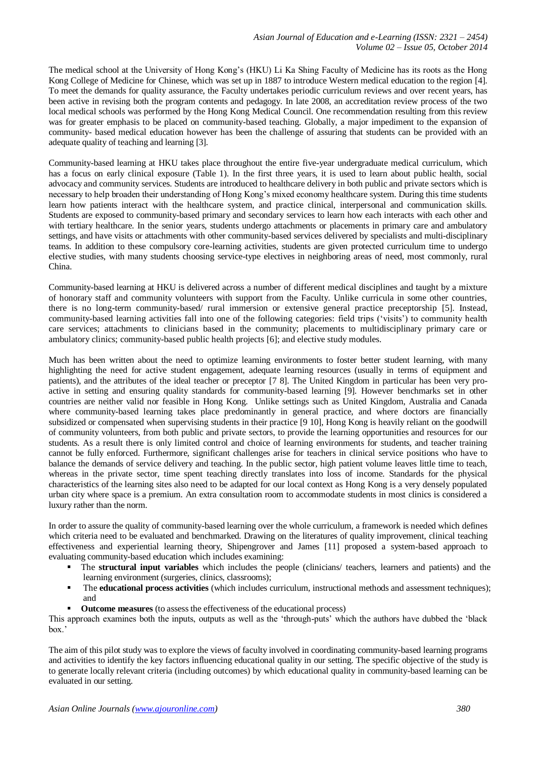The medical school at the University of Hong Kong's (HKU) Li Ka Shing Faculty of Medicine has its roots as the Hong Kong College of Medicine for Chinese, which was set up in 1887 to introduce Western medical education to the region [4]. To meet the demands for quality assurance, the Faculty undertakes periodic curriculum reviews and over recent years, has been active in revising both the program contents and pedagogy. In late 2008, an accreditation review process of the two local medical schools was performed by the Hong Kong Medical Council. One recommendation resulting from this review was for greater emphasis to be placed on community-based teaching. Globally, a major impediment to the expansion of community- based medical education however has been the challenge of assuring that students can be provided with an adequate quality of teaching and learning [3].

Community-based learning at HKU takes place throughout the entire five-year undergraduate medical curriculum, which has a focus on early clinical exposure (Table 1). In the first three years, it is used to learn about public health, social advocacy and community services. Students are introduced to healthcare delivery in both public and private sectors which is necessary to help broaden their understanding of Hong Kong's mixed economy healthcare system. During this time students learn how patients interact with the healthcare system, and practice clinical, interpersonal and communication skills. Students are exposed to community-based primary and secondary services to learn how each interacts with each other and with tertiary healthcare. In the senior years, students undergo attachments or placements in primary care and ambulatory settings, and have visits or attachments with other community-based services delivered by specialists and multi-disciplinary teams. In addition to these compulsory core-learning activities, students are given protected curriculum time to undergo elective studies, with many students choosing service-type electives in neighboring areas of need, most commonly, rural China.

Community-based learning at HKU is delivered across a number of different medical disciplines and taught by a mixture of honorary staff and community volunteers with support from the Faculty. Unlike curricula in some other countries, there is no long-term community-based/ rural immersion or extensive general practice preceptorship [5]. Instead, community-based learning activities fall into one of the following categories: field trips ('visits') to community health care services; attachments to clinicians based in the community; placements to multidisciplinary primary care or ambulatory clinics; community-based public health projects [6]; and elective study modules.

Much has been written about the need to optimize learning environments to foster better student learning, with many highlighting the need for active student engagement, adequate learning resources (usually in terms of equipment and patients), and the attributes of the ideal teacher or preceptor [7 8]. The United Kingdom in particular has been very proactive in setting and ensuring quality standards for community-based learning [9]. However benchmarks set in other countries are neither valid nor feasible in Hong Kong. Unlike settings such as United Kingdom, Australia and Canada where community-based learning takes place predominantly in general practice, and where doctors are financially subsidized or compensated when supervising students in their practice [9 10], Hong Kong is heavily reliant on the goodwill of community volunteers, from both public and private sectors, to provide the learning opportunities and resources for our students. As a result there is only limited control and choice of learning environments for students, and teacher training cannot be fully enforced. Furthermore, significant challenges arise for teachers in clinical service positions who have to balance the demands of service delivery and teaching. In the public sector, high patient volume leaves little time to teach, whereas in the private sector, time spent teaching directly translates into loss of income. Standards for the physical characteristics of the learning sites also need to be adapted for our local context as Hong Kong is a very densely populated urban city where space is a premium. An extra consultation room to accommodate students in most clinics is considered a luxury rather than the norm.

In order to assure the quality of community-based learning over the whole curriculum, a framework is needed which defines which criteria need to be evaluated and benchmarked. Drawing on the literatures of quality improvement, clinical teaching effectiveness and experiential learning theory, Shipengrover and James [11] proposed a system-based approach to evaluating community-based education which includes examining:

- The **structural input variables** which includes the people (clinicians/ teachers, learners and patients) and the learning environment (surgeries, clinics, classrooms);
- The **educational process activities** (which includes curriculum, instructional methods and assessment techniques); and
- **Outcome measures** (to assess the effectiveness of the educational process)

This approach examines both the inputs, outputs as well as the 'through-puts' which the authors have dubbed the 'black box.'

The aim of this pilot study was to explore the views of faculty involved in coordinating community-based learning programs and activities to identify the key factors influencing educational quality in our setting. The specific objective of the study is to generate locally relevant criteria (including outcomes) by which educational quality in community-based learning can be evaluated in our setting.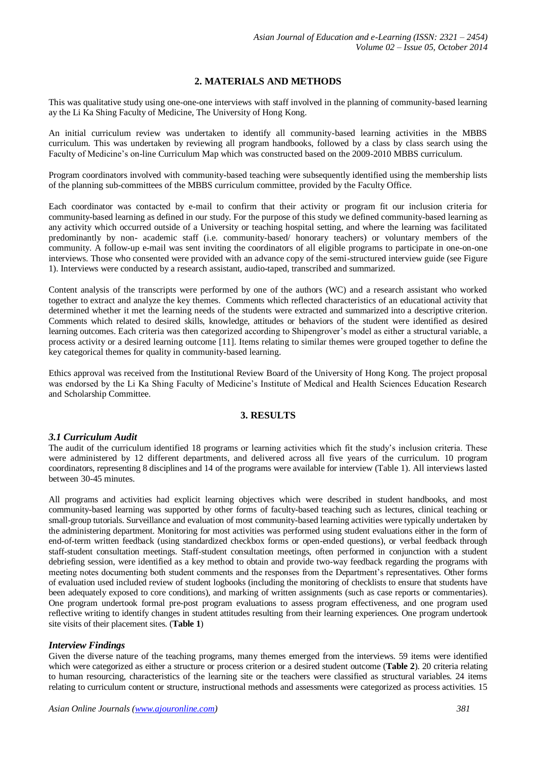# **2. MATERIALS AND METHODS**

This was qualitative study using one-one-one interviews with staff involved in the planning of community-based learning ay the Li Ka Shing Faculty of Medicine, The University of Hong Kong.

An initial curriculum review was undertaken to identify all community-based learning activities in the MBBS curriculum. This was undertaken by reviewing all program handbooks, followed by a class by class search using the Faculty of Medicine's on-line Curriculum Map which was constructed based on the 2009-2010 MBBS curriculum.

Program coordinators involved with community-based teaching were subsequently identified using the membership lists of the planning sub-committees of the MBBS curriculum committee, provided by the Faculty Office.

Each coordinator was contacted by e-mail to confirm that their activity or program fit our inclusion criteria for community-based learning as defined in our study. For the purpose of this study we defined community-based learning as any activity which occurred outside of a University or teaching hospital setting, and where the learning was facilitated predominantly by non- academic staff (i.e. community-based/ honorary teachers) or voluntary members of the community. A follow-up e-mail was sent inviting the coordinators of all eligible programs to participate in one-on-one interviews. Those who consented were provided with an advance copy of the semi-structured interview guide (see Figure 1). Interviews were conducted by a research assistant, audio-taped, transcribed and summarized.

Content analysis of the transcripts were performed by one of the authors (WC) and a research assistant who worked together to extract and analyze the key themes. Comments which reflected characteristics of an educational activity that determined whether it met the learning needs of the students were extracted and summarized into a descriptive criterion. Comments which related to desired skills, knowledge, attitudes or behaviors of the student were identified as desired learning outcomes. Each criteria was then categorized according to Shipengrover's model as either a structural variable, a process activity or a desired learning outcome [11]. Items relating to similar themes were grouped together to define the key categorical themes for quality in community-based learning.

Ethics approval was received from the Institutional Review Board of the University of Hong Kong. The project proposal was endorsed by the Li Ka Shing Faculty of Medicine's Institute of Medical and Health Sciences Education Research and Scholarship Committee.

## **3. RESULTS**

#### *3.1 Curriculum Audit*

The audit of the curriculum identified 18 programs or learning activities which fit the study's inclusion criteria. These were administered by 12 different departments, and delivered across all five years of the curriculum. 10 program coordinators, representing 8 disciplines and 14 of the programs were available for interview (Table 1). All interviews lasted between 30-45 minutes.

All programs and activities had explicit learning objectives which were described in student handbooks, and most community-based learning was supported by other forms of faculty-based teaching such as lectures, clinical teaching or small-group tutorials. Surveillance and evaluation of most community-based learning activities were typically undertaken by the administering department. Monitoring for most activities was performed using student evaluations either in the form of end-of-term written feedback (using standardized checkbox forms or open-ended questions), or verbal feedback through staff-student consultation meetings. Staff-student consultation meetings, often performed in conjunction with a student debriefing session, were identified as a key method to obtain and provide two-way feedback regarding the programs with meeting notes documenting both student comments and the responses from the Department's representatives. Other forms of evaluation used included review of student logbooks (including the monitoring of checklists to ensure that students have been adequately exposed to core conditions), and marking of written assignments (such as case reports or commentaries). One program undertook formal pre-post program evaluations to assess program effectiveness, and one program used reflective writing to identify changes in student attitudes resulting from their learning experiences. One program undertook site visits of their placement sites. (**Table 1**)

## *Interview Findings*

Given the diverse nature of the teaching programs, many themes emerged from the interviews. 59 items were identified which were categorized as either a structure or process criterion or a desired student outcome (**Table 2**). 20 criteria relating to human resourcing, characteristics of the learning site or the teachers were classified as structural variables. 24 items relating to curriculum content or structure, instructional methods and assessments were categorized as process activities. 15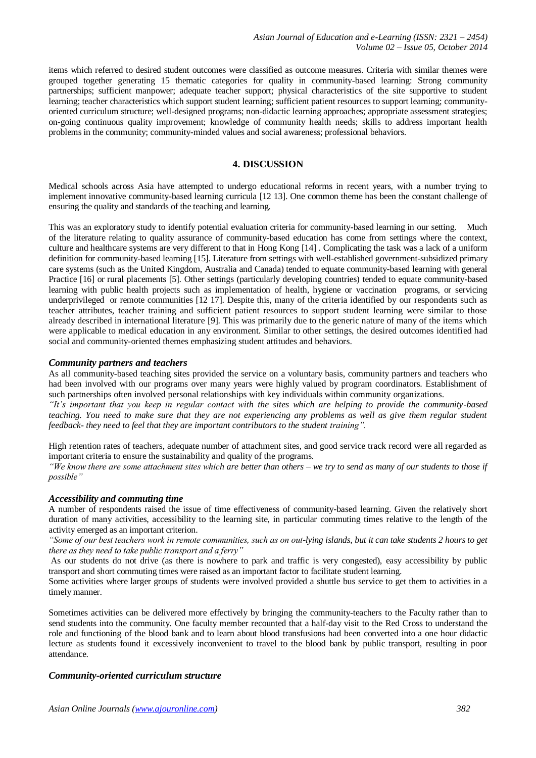items which referred to desired student outcomes were classified as outcome measures. Criteria with similar themes were grouped together generating 15 thematic categories for quality in community-based learning: Strong community partnerships; sufficient manpower; adequate teacher support; physical characteristics of the site supportive to student learning; teacher characteristics which support student learning; sufficient patient resources to support learning; communityoriented curriculum structure; well-designed programs; non-didactic learning approaches; appropriate assessment strategies; on-going continuous quality improvement; knowledge of community health needs; skills to address important health problems in the community; community-minded values and social awareness; professional behaviors.

## **4. DISCUSSION**

Medical schools across Asia have attempted to undergo educational reforms in recent years, with a number trying to implement innovative community-based learning curricula [12 13]. One common theme has been the constant challenge of ensuring the quality and standards of the teaching and learning.

This was an exploratory study to identify potential evaluation criteria for community-based learning in our setting. Much of the literature relating to quality assurance of community-based education has come from settings where the context, culture and healthcare systems are very different to that in Hong Kong [14] . Complicating the task was a lack of a uniform definition for community-based learning [15]. Literature from settings with well-established government-subsidized primary care systems (such as the United Kingdom, Australia and Canada) tended to equate community-based learning with general Practice [16] or rural placements [5]. Other settings (particularly developing countries) tended to equate community-based learning with public health projects such as implementation of health, hygiene or vaccination programs, or servicing underprivileged or remote communities [12 17]. Despite this, many of the criteria identified by our respondents such as teacher attributes, teacher training and sufficient patient resources to support student learning were similar to those already described in international literature [9]. This was primarily due to the generic nature of many of the items which were applicable to medical education in any environment. Similar to other settings, the desired outcomes identified had social and community-oriented themes emphasizing student attitudes and behaviors.

#### *Community partners and teachers*

As all community-based teaching sites provided the service on a voluntary basis, community partners and teachers who had been involved with our programs over many years were highly valued by program coordinators. Establishment of such partnerships often involved personal relationships with key individuals within community organizations.

*"It's important that you keep in regular contact with the sites which are helping to provide the community-based teaching. You need to make sure that they are not experiencing any problems as well as give them regular student feedback- they need to feel that they are important contributors to the student training".*

High retention rates of teachers, adequate number of attachment sites, and good service track record were all regarded as important criteria to ensure the sustainability and quality of the programs.

*"We know there are some attachment sites which are better than others – we try to send as many of our students to those if possible"*

#### *Accessibility and commuting time*

A number of respondents raised the issue of time effectiveness of community-based learning. Given the relatively short duration of many activities, accessibility to the learning site, in particular commuting times relative to the length of the activity emerged as an important criterion.

*"Some of our best teachers work in remote communities, such as on out-lying islands, but it can take students 2 hours to get there as they need to take public transport and a ferry"*

As our students do not drive (as there is nowhere to park and traffic is very congested), easy accessibility by public transport and short commuting times were raised as an important factor to facilitate student learning.

Some activities where larger groups of students were involved provided a shuttle bus service to get them to activities in a timely manner.

Sometimes activities can be delivered more effectively by bringing the community-teachers to the Faculty rather than to send students into the community. One faculty member recounted that a half-day visit to the Red Cross to understand the role and functioning of the blood bank and to learn about blood transfusions had been converted into a one hour didactic lecture as students found it excessively inconvenient to travel to the blood bank by public transport, resulting in poor attendance.

#### *Community-oriented curriculum structure*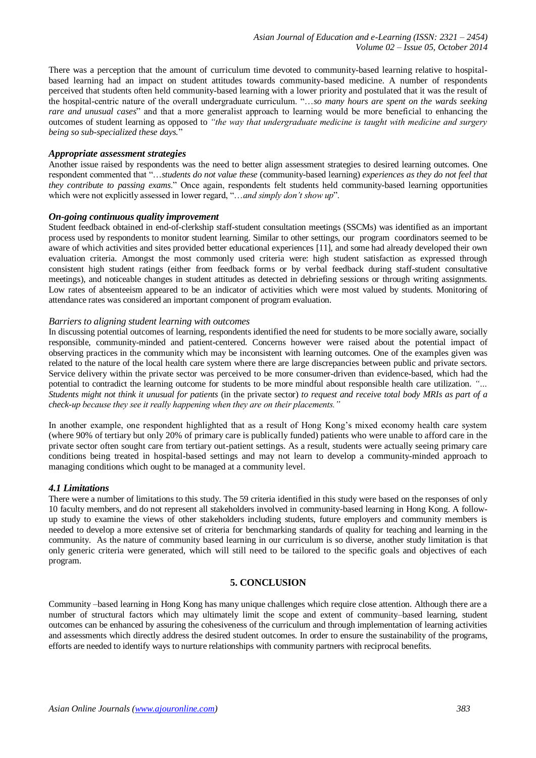There was a perception that the amount of curriculum time devoted to community-based learning relative to hospitalbased learning had an impact on student attitudes towards community-based medicine. A number of respondents perceived that students often held community-based learning with a lower priority and postulated that it was the result of the hospital-centric nature of the overall undergraduate curriculum. "…*so many hours are spent on the wards seeking rare and unusual cases*" and that a more generalist approach to learning would be more beneficial to enhancing the outcomes of student learning as opposed to *"the way that undergraduate medicine is taught with medicine and surgery being so sub-specialized these days.*"

#### *Appropriate assessment strategies*

Another issue raised by respondents was the need to better align assessment strategies to desired learning outcomes. One respondent commented that "…*students do not value these* (community-based learning) *experiences as they do not feel that they contribute to passing exams*." Once again, respondents felt students held community-based learning opportunities which were not explicitly assessed in lower regard, "…*and simply don't show up*".

#### *On-going continuous quality improvement*

Student feedback obtained in end-of-clerkship staff-student consultation meetings (SSCMs) was identified as an important process used by respondents to monitor student learning. Similar to other settings, our program coordinators seemed to be aware of which activities and sites provided better educational experiences [11], and some had already developed their own evaluation criteria. Amongst the most commonly used criteria were: high student satisfaction as expressed through consistent high student ratings (either from feedback forms or by verbal feedback during staff-student consultative meetings), and noticeable changes in student attitudes as detected in debriefing sessions or through writing assignments. Low rates of absenteeism appeared to be an indicator of activities which were most valued by students. Monitoring of attendance rates was considered an important component of program evaluation.

#### *Barriers to aligning student learning with outcomes*

In discussing potential outcomes of learning, respondents identified the need for students to be more socially aware, socially responsible, community-minded and patient-centered. Concerns however were raised about the potential impact of observing practices in the community which may be inconsistent with learning outcomes. One of the examples given was related to the nature of the local health care system where there are large discrepancies between public and private sectors. Service delivery within the private sector was perceived to be more consumer-driven than evidence-based, which had the potential to contradict the learning outcome for students to be more mindful about responsible health care utilization. *"… Students might not think it unusual for patients* (in the private sector) *to request and receive total body MRIs as part of a check-up because they see it really happening when they are on their placements."* 

In another example, one respondent highlighted that as a result of Hong Kong's mixed economy health care system (where 90% of tertiary but only 20% of primary care is publically funded) patients who were unable to afford care in the private sector often sought care from tertiary out-patient settings. As a result, students were actually seeing primary care conditions being treated in hospital-based settings and may not learn to develop a community-minded approach to managing conditions which ought to be managed at a community level.

#### *4.1 Limitations*

There were a number of limitations to this study. The 59 criteria identified in this study were based on the responses of only 10 faculty members, and do not represent all stakeholders involved in community-based learning in Hong Kong. A followup study to examine the views of other stakeholders including students, future employers and community members is needed to develop a more extensive set of criteria for benchmarking standards of quality for teaching and learning in the community. As the nature of community based learning in our curriculum is so diverse, another study limitation is that only generic criteria were generated, which will still need to be tailored to the specific goals and objectives of each program.

## **5. CONCLUSION**

Community –based learning in Hong Kong has many unique challenges which require close attention. Although there are a number of structural factors which may ultimately limit the scope and extent of community–based learning, student outcomes can be enhanced by assuring the cohesiveness of the curriculum and through implementation of learning activities and assessments which directly address the desired student outcomes. In order to ensure the sustainability of the programs, efforts are needed to identify ways to nurture relationships with community partners with reciprocal benefits.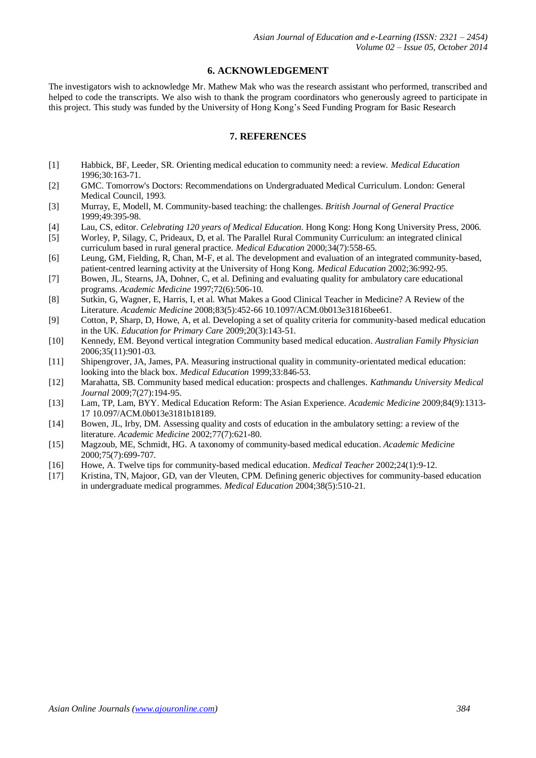#### **6. ACKNOWLEDGEMENT**

The investigators wish to acknowledge Mr. Mathew Mak who was the research assistant who performed, transcribed and helped to code the transcripts. We also wish to thank the program coordinators who generously agreed to participate in this project. This study was funded by the University of Hong Kong's Seed Funding Program for Basic Research

## **7. REFERENCES**

- [1] Habbick, BF, Leeder, SR. Orienting medical education to community need: a review. *Medical Education* 1996;30:163-71.
- [2] GMC. Tomorrow's Doctors: Recommendations on Undergraduated Medical Curriculum. London: General Medical Council, 1993.
- [3] Murray, E, Modell, M. Community-based teaching: the challenges. *British Journal of General Practice* 1999;49:395-98.
- [4] Lau, CS, editor. *Celebrating 120 years of Medical Education*. Hong Kong: Hong Kong University Press, 2006.
- [5] Worley, P, Silagy, C, Prideaux, D, et al. The Parallel Rural Community Curriculum: an integrated clinical curriculum based in rural general practice. *Medical Education* 2000;34(7):558-65.
- [6] Leung, GM, Fielding, R, Chan, M-F, et al. The development and evaluation of an integrated community-based, patient-centred learning activity at the University of Hong Kong. *Medical Education* 2002;36:992-95.
- [7] Bowen, JL, Stearns, JA, Dohner, C, et al. Defining and evaluating quality for ambulatory care educational programs. *Academic Medicine* 1997;72(6):506-10.
- [8] Sutkin, G, Wagner, E, Harris, I, et al. What Makes a Good Clinical Teacher in Medicine? A Review of the Literature. *Academic Medicine* 2008;83(5):452-66 10.1097/ACM.0b013e31816bee61.
- [9] Cotton, P, Sharp, D, Howe, A, et al. Developing a set of quality criteria for community-based medical education in the UK. *Education for Primary Care* 2009;20(3):143-51.
- [10] Kennedy, EM. Beyond vertical integration Community based medical education. *Australian Family Physician* 2006;35(11):901-03.
- [11] Shipengrover, JA, James, PA. Measuring instructional quality in community-orientated medical education: looking into the black box. *Medical Education* 1999;33:846-53.
- [12] Marahatta, SB. Community based medical education: prospects and challenges. *Kathmandu University Medical Journal* 2009;7(27):194-95.
- [13] Lam, TP, Lam, BYY. Medical Education Reform: The Asian Experience. *Academic Medicine* 2009;84(9):1313- 17 10.097/ACM.0b013e3181b18189.
- [14] Bowen, JL, Irby, DM. Assessing quality and costs of education in the ambulatory setting: a review of the literature. *Academic Medicine* 2002;77(7):621-80.
- [15] Magzoub, ME, Schmidt, HG. A taxonomy of community-based medical education. *Academic Medicine* 2000;75(7):699-707.
- [16] Howe, A. Twelve tips for community-based medical education. *Medical Teacher* 2002;24(1):9-12.
- [17] Kristina, TN, Majoor, GD, van der Vleuten, CPM. Defining generic objectives for community-based education in undergraduate medical programmes. *Medical Education* 2004;38(5):510-21.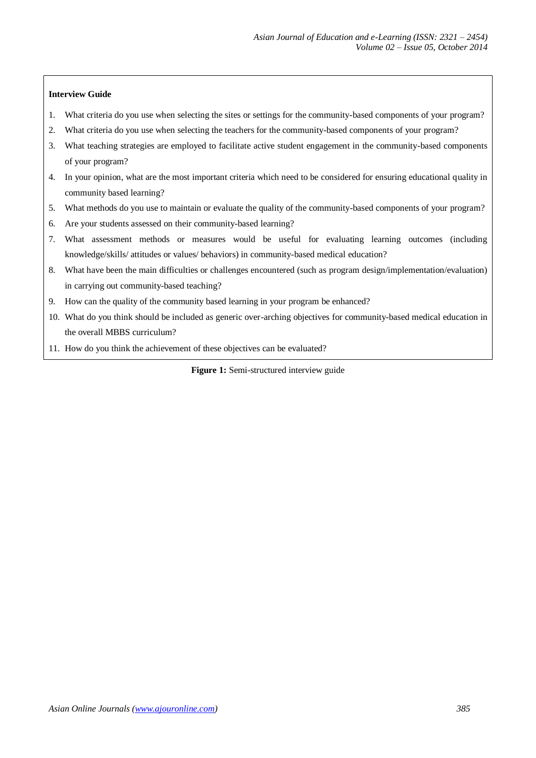## **Interview Guide**

- 1. What criteria do you use when selecting the sites or settings for the community-based components of your program?
- 2. What criteria do you use when selecting the teachers for the community-based components of your program?
- 3. What teaching strategies are employed to facilitate active student engagement in the community-based components of your program?
- 4. In your opinion, what are the most important criteria which need to be considered for ensuring educational quality in community based learning?
- 5. What methods do you use to maintain or evaluate the quality of the community-based components of your program?
- 6. Are your students assessed on their community-based learning?
- 7. What assessment methods or measures would be useful for evaluating learning outcomes (including knowledge/skills/ attitudes or values/ behaviors) in community-based medical education?
- 8. What have been the main difficulties or challenges encountered (such as program design/implementation/evaluation) in carrying out community-based teaching?
- 9. How can the quality of the community based learning in your program be enhanced?
- 10. What do you think should be included as generic over-arching objectives for community-based medical education in the overall MBBS curriculum?
- 11. How do you think the achievement of these objectives can be evaluated?

**Figure 1:** Semi-structured interview guide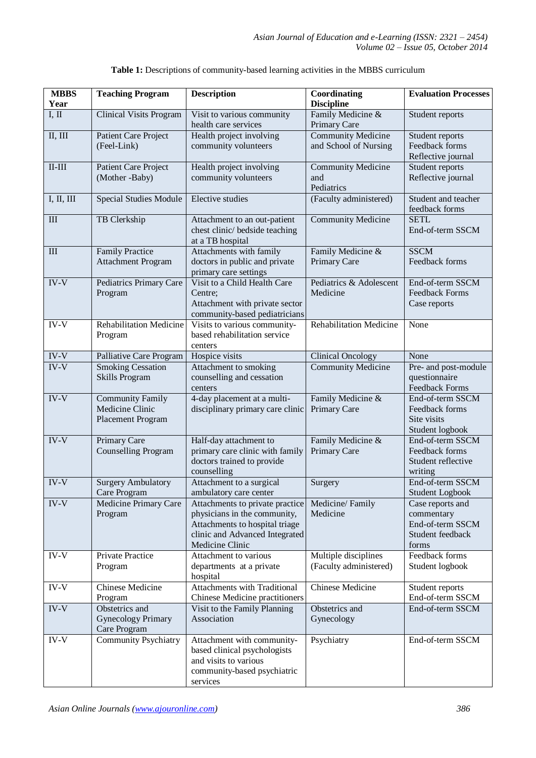| <b>MBBS</b>         | <b>Teaching Program</b>                                         | <b>Description</b>                                                                                                                                     | Coordinating                                       | <b>Evaluation Processes</b>                                                     |
|---------------------|-----------------------------------------------------------------|--------------------------------------------------------------------------------------------------------------------------------------------------------|----------------------------------------------------|---------------------------------------------------------------------------------|
| Year                |                                                                 |                                                                                                                                                        | <b>Discipline</b>                                  |                                                                                 |
| I, II               | <b>Clinical Visits Program</b>                                  | Visit to various community<br>health care services                                                                                                     | Family Medicine &<br>Primary Care                  | Student reports                                                                 |
| II, III             | Patient Care Project<br>(Feel-Link)                             | Health project involving<br>community volunteers                                                                                                       | <b>Community Medicine</b><br>and School of Nursing | Student reports<br>Feedback forms<br>Reflective journal                         |
| $\rm II\text{-}III$ | Patient Care Project<br>(Mother-Baby)                           | Health project involving<br>community volunteers                                                                                                       | <b>Community Medicine</b><br>and<br>Pediatrics     | Student reports<br>Reflective journal                                           |
| I, II, III          | <b>Special Studies Module</b>                                   | Elective studies                                                                                                                                       | (Faculty administered)                             | Student and teacher<br>feedback forms                                           |
| Ш                   | TB Clerkship                                                    | Attachment to an out-patient<br>chest clinic/ bedside teaching<br>at a TB hospital                                                                     | <b>Community Medicine</b>                          | <b>SETL</b><br>End-of-term SSCM                                                 |
| $\rm III$           | <b>Family Practice</b><br><b>Attachment Program</b>             | Attachments with family<br>doctors in public and private<br>primary care settings                                                                      | Family Medicine &<br>Primary Care                  | <b>SSCM</b><br>Feedback forms                                                   |
| IV-V                | Pediatrics Primary Care<br>Program                              | Visit to a Child Health Care<br>Centre;<br>Attachment with private sector<br>community-based pediatricians                                             | Pediatrics & Adolescent<br>Medicine                | End-of-term SSCM<br><b>Feedback Forms</b><br>Case reports                       |
| IV-V                | <b>Rehabilitation Medicine</b><br>Program                       | Visits to various community-<br>based rehabilitation service<br>centers                                                                                | <b>Rehabilitation Medicine</b>                     | None                                                                            |
| $\text{IV-V}$       | Palliative Care Program                                         | Hospice visits                                                                                                                                         | <b>Clinical Oncology</b>                           | None                                                                            |
| IV-V                | <b>Smoking Cessation</b><br><b>Skills Program</b>               | Attachment to smoking<br>counselling and cessation<br>centers                                                                                          | Community Medicine                                 | Pre- and post-module<br>questionnaire<br><b>Feedback Forms</b>                  |
| IV-V                | <b>Community Family</b><br>Medicine Clinic<br>Placement Program | 4-day placement at a multi-<br>disciplinary primary care clinic                                                                                        | Family Medicine &<br>Primary Care                  | End-of-term SSCM<br>Feedback forms<br>Site visits<br>Student logbook            |
| IV-V                | Primary Care<br><b>Counselling Program</b>                      | Half-day attachment to<br>primary care clinic with family<br>doctors trained to provide<br>counselling                                                 | Family Medicine &<br>Primary Care                  | End-of-term SSCM<br>Feedback forms<br>Student reflective<br>writing             |
| $IV-V$              | <b>Surgery Ambulatory</b><br>Care Program                       | Attachment to a surgical<br>ambulatory care center                                                                                                     | Surgery                                            | End-of-term SSCM<br>Student Logbook                                             |
| IV-V                | Medicine Primary Care<br>Program                                | Attachments to private practice<br>physicians in the community,<br>Attachments to hospital triage<br>clinic and Advanced Integrated<br>Medicine Clinic | Medicine/Family<br>Medicine                        | Case reports and<br>commentary<br>End-of-term SSCM<br>Student feedback<br>forms |
| IV-V                | Private Practice<br>Program                                     | Attachment to various<br>departments at a private<br>hospital                                                                                          | Multiple disciplines<br>(Faculty administered)     | Feedback forms<br>Student logbook                                               |
| $IV-V$              | Chinese Medicine<br>Program                                     | Attachments with Traditional<br>Chinese Medicine practitioners                                                                                         | Chinese Medicine                                   | Student reports<br>End-of-term SSCM                                             |
| IV-V                | Obstetrics and<br><b>Gynecology Primary</b><br>Care Program     | Visit to the Family Planning<br>Association                                                                                                            | Obstetrics and<br>Gynecology                       | End-of-term SSCM                                                                |
| $IV-V$              | <b>Community Psychiatry</b>                                     | Attachment with community-<br>based clinical psychologists<br>and visits to various<br>community-based psychiatric<br>services                         | Psychiatry                                         | End-of-term SSCM                                                                |

# **Table 1:** Descriptions of community-based learning activities in the MBBS curriculum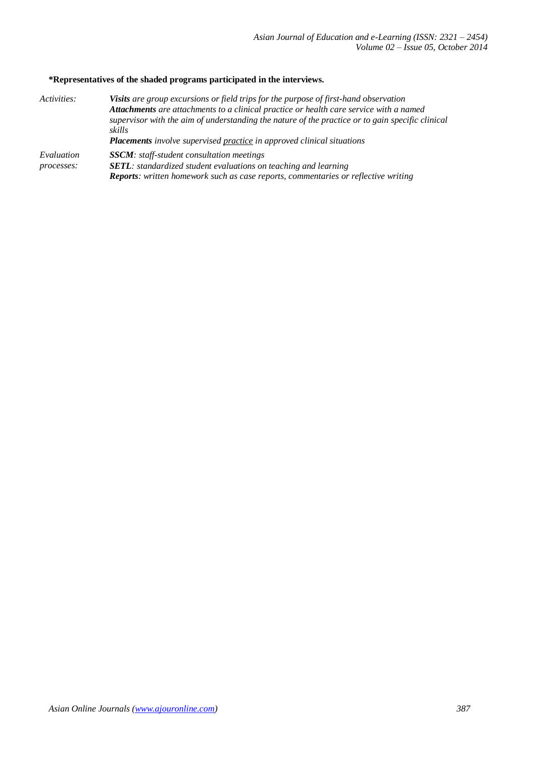# **\*Representatives of the shaded programs participated in the interviews.**

| Activities: | <b>Visits</b> are group excursions or field trips for the purpose of first-hand observation<br>Attachments are attachments to a clinical practice or health care service with a named<br>supervisor with the aim of understanding the nature of the practice or to gain specific clinical<br>skills<br><b>Placements</b> involve supervised practice in approved clinical situations |  |
|-------------|--------------------------------------------------------------------------------------------------------------------------------------------------------------------------------------------------------------------------------------------------------------------------------------------------------------------------------------------------------------------------------------|--|
| Evaluation  | <b>SSCM</b> : staff-student consultation meetings                                                                                                                                                                                                                                                                                                                                    |  |
| processes:  | <b>SETL</b> : standardized student evaluations on teaching and learning<br><b>Reports:</b> written homework such as case reports, commentaries or reflective writing                                                                                                                                                                                                                 |  |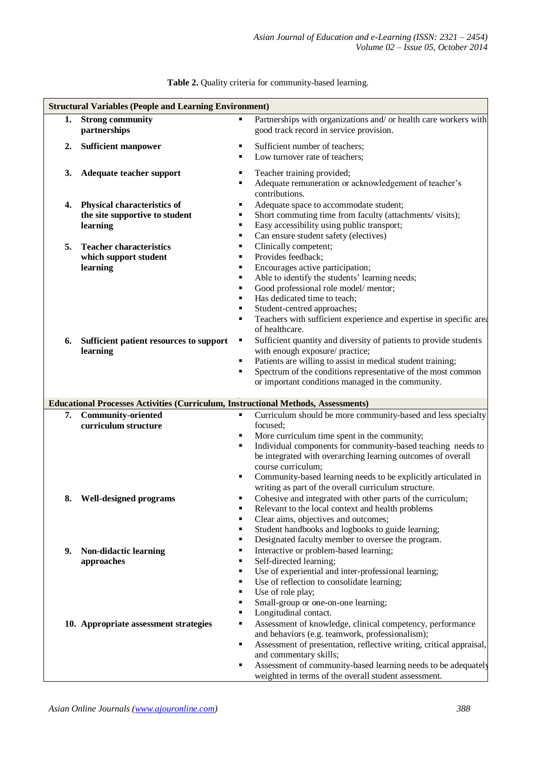|    | <b>Structural Variables (People and Learning Environment)</b>                            |                                                                                                                             |  |  |  |
|----|------------------------------------------------------------------------------------------|-----------------------------------------------------------------------------------------------------------------------------|--|--|--|
| 1. | <b>Strong community</b>                                                                  | Partnerships with organizations and/ or health care workers with<br>$\blacksquare$                                          |  |  |  |
|    | partnerships                                                                             | good track record in service provision.                                                                                     |  |  |  |
| 2. | <b>Sufficient manpower</b>                                                               | Sufficient number of teachers;                                                                                              |  |  |  |
|    |                                                                                          | Low turnover rate of teachers;                                                                                              |  |  |  |
| 3. | Adequate teacher support                                                                 | Teacher training provided;                                                                                                  |  |  |  |
|    |                                                                                          | Adequate remuneration or acknowledgement of teacher's<br>٠                                                                  |  |  |  |
|    |                                                                                          | contributions.                                                                                                              |  |  |  |
| 4. | <b>Physical characteristics of</b>                                                       | Adequate space to accommodate student;<br>п<br>Short commuting time from faculty (attachments/visits);<br>٠                 |  |  |  |
|    | the site supportive to student<br>learning                                               | Easy accessibility using public transport;<br>٠                                                                             |  |  |  |
|    |                                                                                          | Can ensure student safety (electives)<br>$\blacksquare$                                                                     |  |  |  |
| 5. | <b>Teacher characteristics</b>                                                           | Clinically competent;<br>٠                                                                                                  |  |  |  |
|    | which support student                                                                    | Provides feedback;<br>٠                                                                                                     |  |  |  |
|    | learning                                                                                 | Encourages active participation;<br>٠                                                                                       |  |  |  |
|    |                                                                                          | Able to identify the students' learning needs;<br>٠<br>٠                                                                    |  |  |  |
|    |                                                                                          | Good professional role model/mentor;<br>Has dedicated time to teach;<br>٠                                                   |  |  |  |
|    |                                                                                          | Student-centred approaches;                                                                                                 |  |  |  |
|    |                                                                                          | Teachers with sufficient experience and expertise in specific area<br>٠                                                     |  |  |  |
|    |                                                                                          | of healthcare.                                                                                                              |  |  |  |
| 6. | Sufficient patient resources to support                                                  | Sufficient quantity and diversity of patients to provide students<br>Ξ                                                      |  |  |  |
|    | learning                                                                                 | with enough exposure/ practice;<br>Patients are willing to assist in medical student training;<br>٠                         |  |  |  |
|    |                                                                                          | Spectrum of the conditions representative of the most common                                                                |  |  |  |
|    |                                                                                          | or important conditions managed in the community.                                                                           |  |  |  |
|    |                                                                                          |                                                                                                                             |  |  |  |
|    |                                                                                          |                                                                                                                             |  |  |  |
|    | <b>Educational Processes Activities (Curriculum, Instructional Methods, Assessments)</b> |                                                                                                                             |  |  |  |
| 7. | <b>Community-oriented</b>                                                                | Curriculum should be more community-based and less specialty                                                                |  |  |  |
|    | curriculum structure                                                                     | focused:                                                                                                                    |  |  |  |
|    |                                                                                          | More curriculum time spent in the community;<br>Individual components for community-based teaching needs to<br>Ξ            |  |  |  |
|    |                                                                                          | be integrated with overarching learning outcomes of overall                                                                 |  |  |  |
|    |                                                                                          | course curriculum;                                                                                                          |  |  |  |
|    |                                                                                          | Community-based learning needs to be explicitly articulated in                                                              |  |  |  |
|    |                                                                                          | writing as part of the overall curriculum structure.                                                                        |  |  |  |
|    | 8. Well-designed programs                                                                | Cohesive and integrated with other parts of the curriculum;<br>Relevant to the local context and health problems            |  |  |  |
|    |                                                                                          | Clear aims, objectives and outcomes;                                                                                        |  |  |  |
|    |                                                                                          | Student handbooks and logbooks to guide learning;<br>٠                                                                      |  |  |  |
|    |                                                                                          | Designated faculty member to oversee the program.<br>п                                                                      |  |  |  |
| 9. | Non-didactic learning                                                                    | Interactive or problem-based learning;<br>٠<br>٠                                                                            |  |  |  |
|    | approaches                                                                               | Self-directed learning;<br>٠                                                                                                |  |  |  |
|    |                                                                                          | Use of experiential and inter-professional learning;<br>Use of reflection to consolidate learning;<br>٠                     |  |  |  |
|    |                                                                                          | Use of role play;<br>٠                                                                                                      |  |  |  |
|    |                                                                                          | Small-group or one-on-one learning;<br>٠                                                                                    |  |  |  |
|    |                                                                                          | Longitudinal contact.<br>٠                                                                                                  |  |  |  |
|    | 10. Appropriate assessment strategies                                                    | Assessment of knowledge, clinical competency, performance<br>٠                                                              |  |  |  |
|    |                                                                                          | and behaviors (e.g. teamwork, professionalism);<br>Assessment of presentation, reflective writing, critical appraisal,<br>٠ |  |  |  |
|    |                                                                                          | and commentary skills;                                                                                                      |  |  |  |
|    |                                                                                          | Assessment of community-based learning needs to be adequately                                                               |  |  |  |

**Table 2.** Quality criteria for community-based learning.